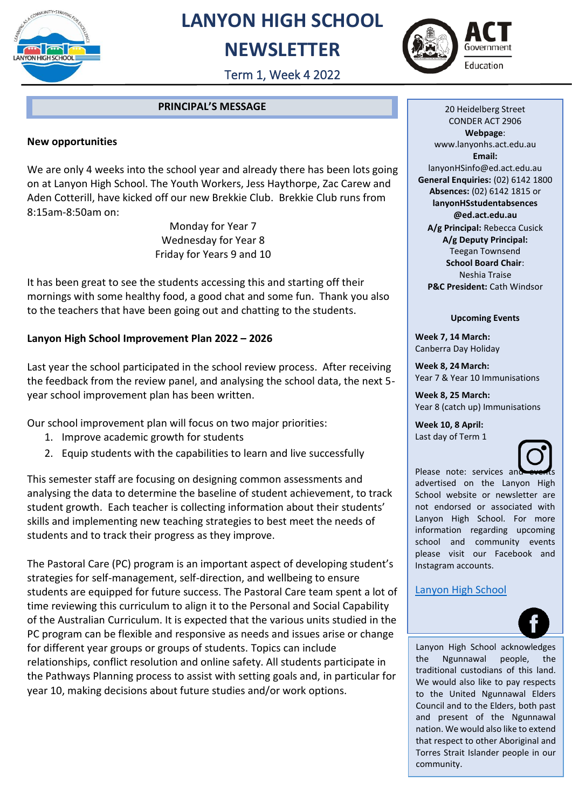

## **LANYON HIGH SCHOOL**

### **NEWSLETTER**



Term 1, Week 4 2022

#### **PRINCIPAL'S MESSAGE**

#### **New opportunities**

We are only 4 weeks into the school year and already there has been lots going on at Lanyon High School. The Youth Workers, Jess Haythorpe, Zac Carew and Aden Cotterill, have kicked off our new Brekkie Club. Brekkie Club runs from 8:15am-8:50am on:

> Monday for Year 7 Wednesday for Year 8 Friday for Years 9 and 10

It has been great to see the students accessing this and starting off their mornings with some healthy food, a good chat and some fun. Thank you also to the teachers that have been going out and chatting to the students.

#### **Lanyon High School Improvement Plan 2022 – 2026**

Last year the school participated in the school review process. After receiving the feedback from the review panel, and analysing the school data, the next 5 year school improvement plan has been written.

Our school improvement plan will focus on two major priorities:

- 1. Improve academic growth for students
- 2. Equip students with the capabilities to learn and live successfully

This semester staff are focusing on designing common assessments and analysing the data to determine the baseline of student achievement, to track student growth. Each teacher is collecting information about their students' skills and implementing new teaching strategies to best meet the needs of students and to track their progress as they improve.

The Pastoral Care (PC) program is an important aspect of developing student's strategies for self-management, self-direction, and wellbeing to ensure students are equipped for future success. The Pastoral Care team spent a lot of time reviewing this curriculum to align it to the Personal and Social Capability of the Australian Curriculum. It is expected that the various units studied in the PC program can be flexible and responsive as needs and issues arise or change for different year groups or groups of students. Topics can include relationships, conflict resolution and online safety. All students participate in the Pathways Planning process to assist with setting goals and, in particular for year 10, making decisions about future studies and/or work options.

20 Heidelberg Street CONDER ACT 2906 **Webpage**: www.lanyonhs.act.edu.au **Email:**  lanyonHSinfo@ed.act.edu.au **General Enquiries:** (02) 6142 1800 **Absences:** (02) 6142 1815 or **lanyonHSstudentabsences @ed.act.edu.au A/g Principal:** Rebecca Cusick **A/g Deputy Principal:** Teegan Townsend **School Board Chair**:

Neshia Traise **P&C President:** Cath Windsor

#### **Upcoming Events**

**Week 7, 14 March:** Canberra Day Holiday

**Week 8, 24 March:**  Year 7 & Year 10 Immunisations

**Week 8, 25 March:**  Year 8 (catch up) Immunisations

**Week 10, 8 April:** Last day of Term 1



Please note: services and advertised on the Lanyon High School website or newsletter are not endorsed or associated with Lanyon High School. For more information regarding upcoming school and community events please visit our Facebook and Instagram accounts.

#### [Lanyon High School](https://www.facebook.com/LanyonHS.OfficialPage)

<u>waxaa ah ah isaa lagu sadanka iyo dhal</u>aa



Lanyon High School acknowledges the Ngunnawal people, the traditional custodians of this land. We would also like to pay respects to the United Ngunnawal Elders Council and to the Elders, both past and present of the Ngunnawal nation. We would also like to extend that respect to other Aboriginal and Torres Strait Islander people in our community.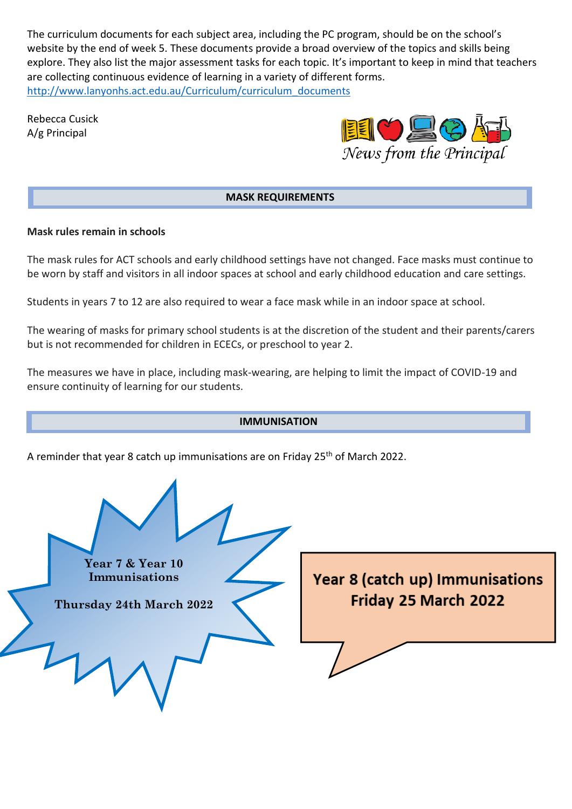The curriculum documents for each subject area, including the PC program, should be on the school's website by the end of week 5. These documents provide a broad overview of the topics and skills being explore. They also list the major assessment tasks for each topic. It's important to keep in mind that teachers are collecting continuous evidence of learning in a variety of different forms. [http://www.lanyonhs.act.edu.au/Curriculum/curriculum\\_documents](http://www.lanyonhs.act.edu.au/Curriculum/curriculum_documents)

Rebecca Cusick A/g Principal



#### **MASK REQUIREMENTS**

#### **Mask rules remain in schools**

The mask rules for ACT schools and early childhood settings have not changed. Face masks must continue to be worn by staff and visitors in all indoor spaces at school and early childhood education and care settings.

Students in years 7 to 12 are also required to wear a face mask while in an indoor space at school.

The wearing of masks for primary school students is at the discretion of the student and their parents/carers but is not recommended for children in ECECs, or preschool to year 2.

The measures we have in place, including mask-wearing, are helping to limit the impact of COVID-19 and ensure continuity of learning for our students.

# **IMMUNISATION** A reminder that year 8 catch up immunisations are on Friday 25<sup>th</sup> of March 2022. **Year 7 & Year 10** Year 8 (catch up) Immunisations **Immunisations** Friday 25 March 2022 **Thursday 24th March 2022**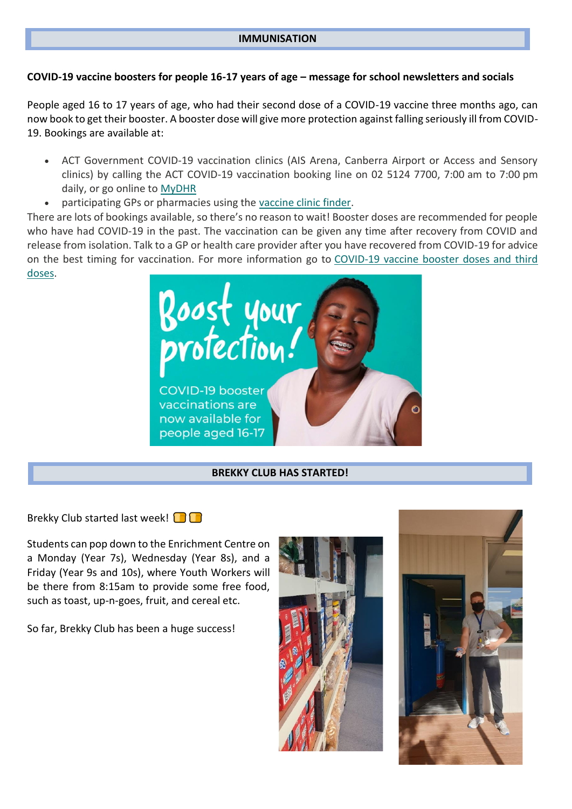#### **IMMUNISATION**

#### **COVID-19 vaccine boosters for people 16-17 years of age – message for school newsletters and socials**

People aged 16 to 17 years of age, who had their second dose of a COVID-19 vaccine three months ago, can now book to get their booster. A booster dose will give more protection against falling seriously ill from COVID-19. Bookings are available at:

- ACT Government COVID-19 vaccination clinics (AIS Arena, Canberra Airport or Access and Sensory clinics) by calling the ACT COVID-19 vaccination booking line on 02 5124 7700, 7:00 am to 7:00 pm daily, or go online to [MyDHR](http://www.mydhr.act.gov.au/)
- participating GPs or pharmacies using the [vaccine clinic finder.](https://covid-vaccine.healthdirect.gov.au/booking/)

There are lots of bookings available, so there's no reason to wait! Booster doses are recommended for people who have had COVID-19 in the past. The vaccination can be given any time after recovery from COVID and release from isolation. Talk to a GP or health care provider after you have recovered from COVID-19 for advice on the best timing for vaccination. For more information go to [COVID-19 vaccine booster doses and third](http://www.covid19.act.gov.au/vaccinebooster)  [doses.](http://www.covid19.act.gov.au/vaccinebooster)



#### **BREKKY CLUB HAS STARTED!**

Brekky Club started last week!  $\Box$ 

Students can pop down to the Enrichment Centre on a Monday (Year 7s), Wednesday (Year 8s), and a Friday (Year 9s and 10s), where Youth Workers will be there from 8:15am to provide some free food, such as toast, up-n-goes, fruit, and cereal etc.

So far, Brekky Club has been a huge success!



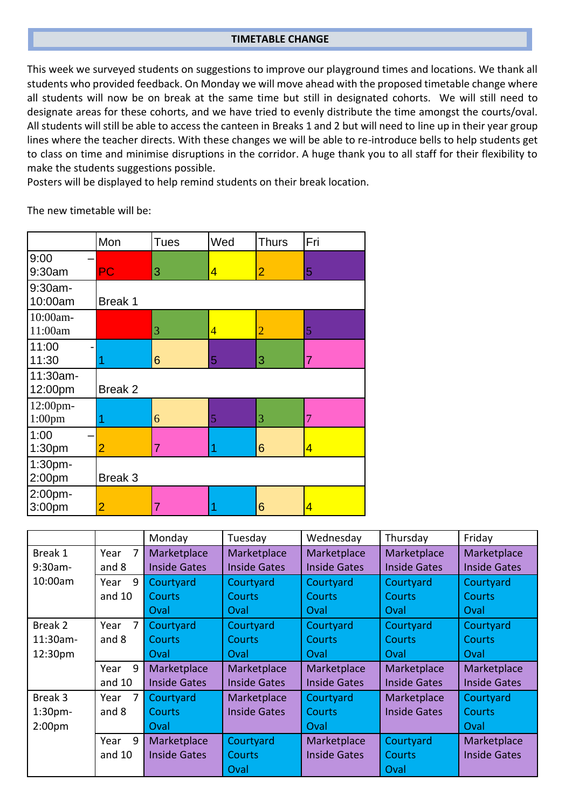#### **TIMETABLE CHANGE**

This week we surveyed students on suggestions to improve our playground times and locations. We thank all students who provided feedback. On Monday we will move ahead with the proposed timetable change where all students will now be on break at the same time but still in designated cohorts. We will still need to designate areas for these cohorts, and we have tried to evenly distribute the time amongst the courts/oval. All students will still be able to access the canteen in Breaks 1 and 2 but will need to line up in their year group lines where the teacher directs. With these changes we will be able to re-introduce bells to help students get to class on time and minimise disruptions in the corridor. A huge thank you to all staff for their flexibility to make the students suggestions possible.

Posters will be displayed to help remind students on their break location.

The new timetable will be:

|                            | Mon            | <b>Tues</b> | Wed            | <b>Thurs</b>   | Fri |  |  |  |
|----------------------------|----------------|-------------|----------------|----------------|-----|--|--|--|
| 9:00<br>9:30am             | PC             | 3           | $\overline{4}$ | $\overline{2}$ | 5   |  |  |  |
| 9:30am-<br>10:00am         | Break 1        |             |                |                |     |  |  |  |
| 10:00am-<br>11:00am        |                | 3           | $\overline{4}$ | $\overline{2}$ | 5   |  |  |  |
| 11:00<br>11:30             |                | 6           | 5              | 3              | 7   |  |  |  |
| 11:30am-<br>12:00pm        | Break 2        |             |                |                |     |  |  |  |
| 12:00pm-<br>$1:00$ pm      | 1              | 6           | 5              | 3              | 7   |  |  |  |
| 1:00<br>1:30 <sub>pm</sub> | $\overline{2}$ | 7           |                | 6              | 4   |  |  |  |
| 1:30pm-<br>2:00pm          | Break 3        |             |                |                |     |  |  |  |
| 2:00pm-<br>3:00pm          | $\overline{2}$ | 7           |                | 6              | 4   |  |  |  |

|                     |           | Monday              | Tuesday             | Wednesday           | Thursday            | Friday              |
|---------------------|-----------|---------------------|---------------------|---------------------|---------------------|---------------------|
| Break 1             | 7<br>Year | Marketplace         | Marketplace         | Marketplace         | Marketplace         | Marketplace         |
| 9:30am-             | and 8     | <b>Inside Gates</b> | <b>Inside Gates</b> | <b>Inside Gates</b> | <b>Inside Gates</b> | <b>Inside Gates</b> |
| 10:00am             | 9<br>Year | Courtyard           | Courtyard           | Courtyard           | Courtyard           | Courtyard           |
|                     | and $10$  | <b>Courts</b>       | <b>Courts</b>       | <b>Courts</b>       | <b>Courts</b>       | <b>Courts</b>       |
|                     |           | Oval                | Oval                | Oval                | Oval                | Oval                |
| Break 2             | 7<br>Year | Courtyard           | Courtyard           | Courtyard           | Courtyard           | Courtyard           |
| 11:30am-            | and 8     | <b>Courts</b>       | <b>Courts</b>       | <b>Courts</b>       | <b>Courts</b>       | <b>Courts</b>       |
| 12:30pm             |           | Oval                | Oval                | Oval                | Oval                | Oval                |
|                     | 9<br>Year | Marketplace         | Marketplace         | Marketplace         | Marketplace         | Marketplace         |
|                     | and $10$  | <b>Inside Gates</b> | <b>Inside Gates</b> | <b>Inside Gates</b> | <b>Inside Gates</b> | <b>Inside Gates</b> |
| Break 3             | 7<br>Year | Courtyard           | Marketplace         | Courtyard           | Marketplace         | Courtyard           |
| 1:30 <sub>pm</sub>  | and 8     | <b>Courts</b>       | <b>Inside Gates</b> | <b>Courts</b>       | <b>Inside Gates</b> | <b>Courts</b>       |
| 2:00 <sub>p</sub> m |           | Oval                |                     | Oval                |                     | Oval                |
|                     | 9<br>Year | Marketplace         | Courtyard           | Marketplace         | Courtyard           | Marketplace         |
|                     | and $10$  | <b>Inside Gates</b> | <b>Courts</b>       | <b>Inside Gates</b> | <b>Courts</b>       | <b>Inside Gates</b> |
|                     |           |                     | Oval                |                     | Oval                |                     |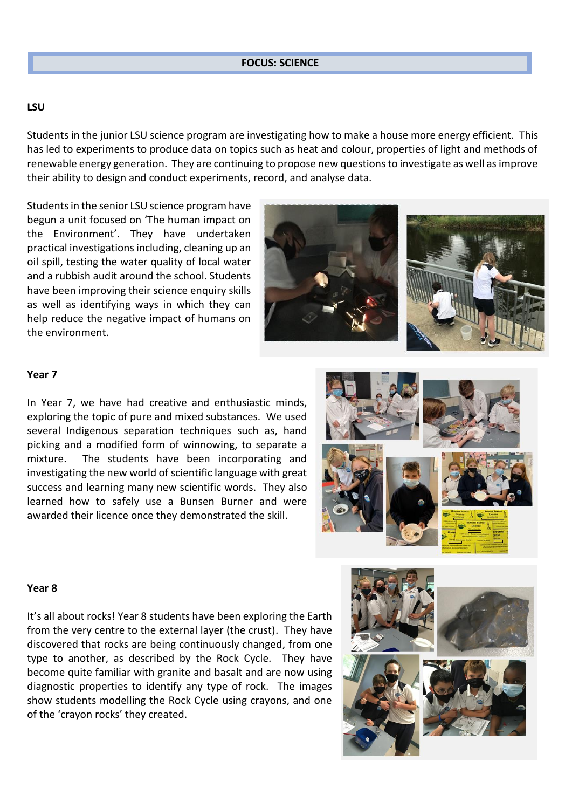#### **LSU**

Students in the junior LSU science program are investigating how to make a house more energy efficient. This has led to experiments to produce data on topics such as heat and colour, properties of light and methods of renewable energy generation. They are continuing to propose new questions to investigate as well as improve their ability to design and conduct experiments, record, and analyse data.

Students in the senior LSU science program have begun a unit focused on 'The human impact on the Environment'. They have undertaken practical investigations including, cleaning up an oil spill, testing the water quality of local water and a rubbish audit around the school. Students have been improving their science enquiry skills as well as identifying ways in which they can help reduce the negative impact of humans on the environment.



#### **Year 7**

In Year 7, we have had creative and enthusiastic minds, exploring the topic of pure and mixed substances. We used several Indigenous separation techniques such as, hand picking and a modified form of winnowing, to separate a mixture. The students have been incorporating and investigating the new world of scientific language with great success and learning many new scientific words. They also learned how to safely use a Bunsen Burner and were awarded their licence once they demonstrated the skill.

#### **Year 8**

It's all about rocks! Year 8 students have been exploring the Earth from the very centre to the external layer (the crust). They have discovered that rocks are being continuously changed, from one type to another, as described by the Rock Cycle. They have become quite familiar with granite and basalt and are now using diagnostic properties to identify any type of rock. The images show students modelling the Rock Cycle using crayons, and one of the 'crayon rocks' they created.

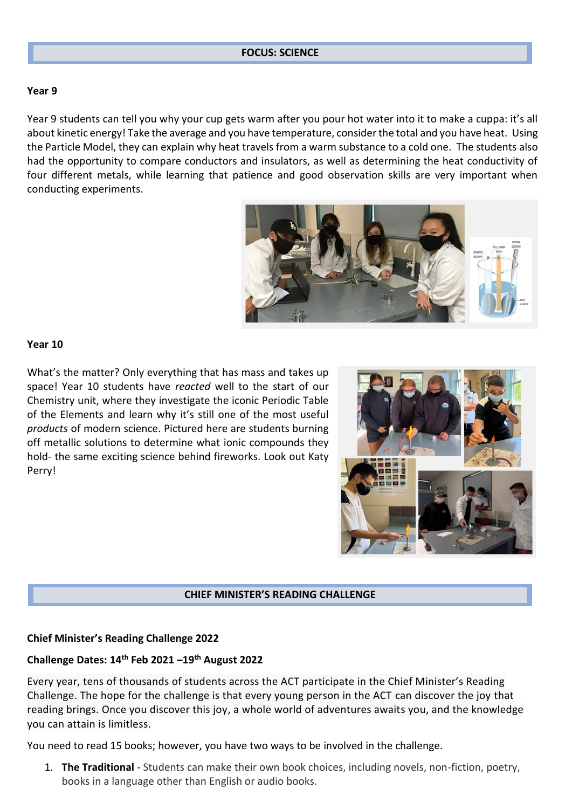#### **FOCUS: SCIENCE**

#### **Year 9**

Year 9 students can tell you why your cup gets warm after you pour hot water into it to make a cuppa: it's all about kinetic energy! Take the average and you have temperature, consider the total and you have heat. Using the Particle Model, they can explain why heat travels from a warm substance to a cold one. The students also had the opportunity to compare conductors and insulators, as well as determining the heat conductivity of four different metals, while learning that patience and good observation skills are very important when conducting experiments.



#### **Year 10**

What's the matter? Only everything that has mass and takes up space! Year 10 students have *reacted* well to the start of our Chemistry unit, where they investigate the iconic Periodic Table of the Elements and learn why it's still one of the most useful *products* of modern science. Pictured here are students burning off metallic solutions to determine what ionic compounds they hold- the same exciting science behind fireworks. Look out Katy Perry!



#### **CHIEF MINISTER'S READING CHALLENGE**

#### **Chief Minister's Reading Challenge 2022**

#### **Challenge Dates: 14th Feb 2021 –19th August 2022**

Every year, tens of thousands of students across the ACT participate in the Chief Minister's Reading Challenge. The hope for the challenge is that every young person in the ACT can discover the joy that reading brings. Once you discover this joy, a whole world of adventures awaits you, and the knowledge you can attain is limitless.

You need to read 15 books; however, you have two ways to be involved in the challenge.

1. **The Traditional** - Students can make their own book choices, including novels, non-fiction, poetry, books in a language other than English or audio books.